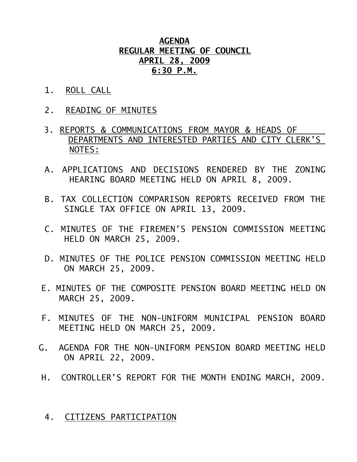## **AGENDA REGULAR MEETING OF COUNCIL APRIL 28, 2009 6:30 P.M.**

- 1. ROLL CALL
- 2. READING OF MINUTES
- 3. REPORTS & COMMUNICATIONS FROM MAYOR & HEADS OF DEPARTMENTS AND INTERESTED PARTIES AND CITY CLERK'S NOTES:
- A. APPLICATIONS AND DECISIONS RENDERED BY THE ZONING HEARING BOARD MEETING HELD ON APRIL 8, 2009.
- B. TAX COLLECTION COMPARISON REPORTS RECEIVED FROM THE SINGLE TAX OFFICE ON APRIL 13, 2009.
- C. MINUTES OF THE FIREMEN'S PENSION COMMISSION MEETING HELD ON MARCH 25, 2009.
- D. MINUTES OF THE POLICE PENSION COMMISSION MEETING HELD ON MARCH 25, 2009.
- E. MINUTES OF THE COMPOSITE PENSION BOARD MEETING HELD ON MARCH 25, 2009.
- F. MINUTES OF THE NON-UNIFORM MUNICIPAL PENSION BOARD MEETING HELD ON MARCH 25, 2009.
- G. AGENDA FOR THE NON-UNIFORM PENSION BOARD MEETING HELD ON APRIL 22, 2009.
- H. CONTROLLER'S REPORT FOR THE MONTH ENDING MARCH, 2009.

## 4. CITIZENS PARTICIPATION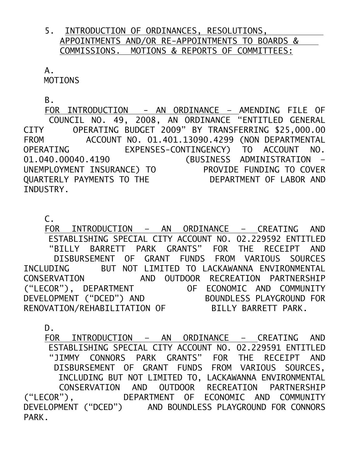## 5. INTRODUCTION OF ORDINANCES, RESOLUTIONS, APPOINTMENTS AND/OR RE-APPOINTMENTS TO BOARDS & COMMISSIONS. MOTIONS & REPORTS OF COMMITTEES:

 A. MOTIONS

B.

 FOR INTRODUCTION - AN ORDINANCE – AMENDING FILE OF COUNCIL NO. 49, 2008, AN ORDINANCE "ENTITLED GENERAL CITY OPERATING BUDGET 2009" BY TRANSFERRING \$25,000.00 FROM ACCOUNT NO. 01.401.13090.4299 (NON DEPARTMENTAL OPERATING EXPENSES-CONTINGENCY) TO ACCOUNT NO. 01.040.00040.4190 (BUSINESS ADMINISTRATION – UNEMPLOYMENT INSURANCE) TO PROVIDE FUNDING TO COVER QUARTERLY PAYMENTS TO THE DEPARTMENT OF LABOR AND INDUSTRY.

 $C_{\tau}$ 

 FOR INTRODUCTION – AN ORDINANCE – CREATING AND ESTABLISHING SPECIAL CITY ACCOUNT NO. 02.229592 ENTITLED "BILLY BARRETT PARK GRANTS" FOR THE RECEIPT AND DISBURSEMENT OF GRANT FUNDS FROM VARIOUS SOURCES INCLUDING BUT NOT LIMITED TO LACKAWANNA ENVIRONMENTAL CONSERVATION AND OUTDOOR RECREATION PARTNERSHIP ("LECOR"), DEPARTMENT OF ECONOMIC AND COMMUNITY DEVELOPMENT ("DCED") AND BOUNDLESS PLAYGROUND FOR RENOVATION/REHABILITATION OF BILLY BARRETT PARK.

D.

 FOR INTRODUCTION – AN ORDINANCE – CREATING AND ESTABLISHING SPECIAL CITY ACCOUNT NO. 02.229591 ENTITLED "JIMMY CONNORS PARK GRANTS" FOR THE RECEIPT AND DISBURSEMENT OF GRANT FUNDS FROM VARIOUS SOURCES, INCLUDING BUT NOT LIMITED TO, LACKAWANNA ENVIRONMENTAL CONSERVATION AND OUTDOOR RECREATION PARTNERSHIP ("LECOR"), DEPARTMENT OF ECONOMIC AND COMMUNITY DEVELOPMENT ("DCED") AND BOUNDLESS PLAYGROUND FOR CONNORS PARK.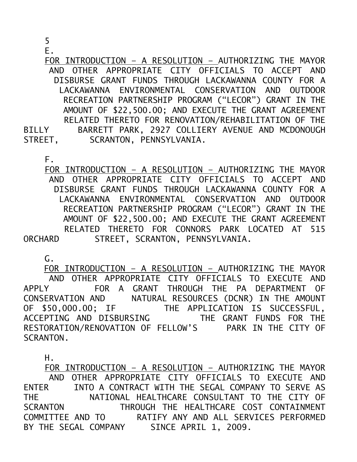5

E.

 FOR INTRODUCTION – A RESOLUTION – AUTHORIZING THE MAYOR AND OTHER APPROPRIATE CITY OFFICIALS TO ACCEPT AND DISBURSE GRANT FUNDS THROUGH LACKAWANNA COUNTY FOR A LACKAWANNA ENVIRONMENTAL CONSERVATION AND OUTDOOR RECREATION PARTNERSHIP PROGRAM ("LECOR") GRANT IN THE AMOUNT OF \$22,500.00; AND EXECUTE THE GRANT AGREEMENT RELATED THERETO FOR RENOVATION/REHABILITATION OF THE BILLY BARRETT PARK, 2927 COLLIERY AVENUE AND MCDONOUGH<br>STREET, SCRANTON, PENNSYLVANIA. SCRANTON, PENNSYLVANIA.

F.

 FOR INTRODUCTION – A RESOLUTION – AUTHORIZING THE MAYOR AND OTHER APPROPRIATE CITY OFFICIALS TO ACCEPT AND DISBURSE GRANT FUNDS THROUGH LACKAWANNA COUNTY FOR A LACKAWANNA ENVIRONMENTAL CONSERVATION AND OUTDOOR RECREATION PARTNERSHIP PROGRAM ("LECOR") GRANT IN THE AMOUNT OF \$22,500.00; AND EXECUTE THE GRANT AGREEMENT RELATED THERETO FOR CONNORS PARK LOCATED AT 515 ORCHARD STREET, SCRANTON, PENNSYLVANIA.

G.

 FOR INTRODUCTION – A RESOLUTION – AUTHORIZING THE MAYOR AND OTHER APPROPRIATE CITY OFFICIALS TO EXECUTE AND APPLY FOR A GRANT THROUGH THE PA DEPARTMENT OF CONSERVATION AND NATURAL RESOURCES (DCNR) IN THE AMOUNT OF \$50,000.00; IF THE APPLICATION IS SUCCESSFUL, ACCEPTING AND DISBURSING THE GRANT FUNDS FOR THE RESTORATION/RENOVATION OF FELLOW'S PARK IN THE CITY OF SCRANTON.

H.

 FOR INTRODUCTION – A RESOLUTION – AUTHORIZING THE MAYOR AND OTHER APPROPRIATE CITY OFFICIALS TO EXECUTE AND ENTER INTO A CONTRACT WITH THE SEGAL COMPANY TO SERVE AS THE NATIONAL HEALTHCARE CONSULTANT TO THE CITY OF SCRANTON THROUGH THE HEALTHCARE COST CONTAINMENT COMMITTEE AND TO RATIFY ANY AND ALL SERVICES PERFORMED BY THE SEGAL COMPANY SINCE APRIL 1, 2009.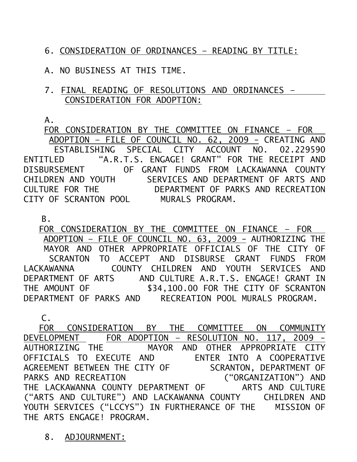6. CONSIDERATION OF ORDINANCES – READING BY TITLE:

A. NO BUSINESS AT THIS TIME.

7. FINAL READING OF RESOLUTIONS AND ORDINANCES – CONSIDERATION FOR ADOPTION:

A.

 FOR CONSIDERATION BY THE COMMITTEE ON FINANCE – FOR ADOPTION – FILE OF COUNCIL NO. 62, 2009 - CREATING AND ESTABLISHING SPECIAL CITY ACCOUNT NO. 02.229590 ENTITLED "A.R.T.S. ENGAGE! GRANT" FOR THE RECEIPT AND DISBURSEMENT OF GRANT FUNDS FROM LACKAWANNA COUNTY CHILDREN AND YOUTH SERVICES AND DEPARTMENT OF ARTS AND CULTURE FOR THE DEPARTMENT OF PARKS AND RECREATION CITY OF SCRANTON POOL MURALS PROGRAM.

B.

 FOR CONSIDERATION BY THE COMMITTEE ON FINANCE – FOR ADOPTION – FILE OF COUNCIL NO. 63, 2009 - AUTHORIZING THE MAYOR AND OTHER APPROPRIATE OFFICIALS OF THE CITY OF SCRANTON TO ACCEPT AND DISBURSE GRANT FUNDS FROM LACKAWANNA COUNTY CHILDREN AND YOUTH SERVICES AND DEPARTMENT OF ARTS AND CULTURE A.R.T.S. ENGAGE! GRANT IN<br>THE AMOUNT OF \$34,100.00 FOR THE CITY OF SCRANTON \$34,100.00 FOR THE CITY OF SCRANTON DEPARTMENT OF PARKS AND RECREATION POOL MURALS PROGRAM.

 C. FOR CONSIDERATION BY THE COMMITTEE ON COMMUNITY DEVELOPMENT FOR ADOPTION – RESOLUTION NO. 117, 2009 - AUTHORIZING THE MAYOR AND OTHER APPROPRIATE CITY OFFICIALS TO EXECUTE AND ENTER INTO A COOPERATIVE AGREEMENT BETWEEN THE CITY OF SCRANTON, DEPARTMENT OF PARKS AND RECREATION ("ORGANIZATION") AND THE LACKAWANNA COUNTY DEPARTMENT OF ARTS AND CULTURE ("ARTS AND CULTURE") AND LACKAWANNA COUNTY CHILDREN AND YOUTH SERVICES ("LCCYS") IN FURTHERANCE OF THE MISSION OF THE ARTS ENGAGE! PROGRAM.

8. ADJOURNMENT: